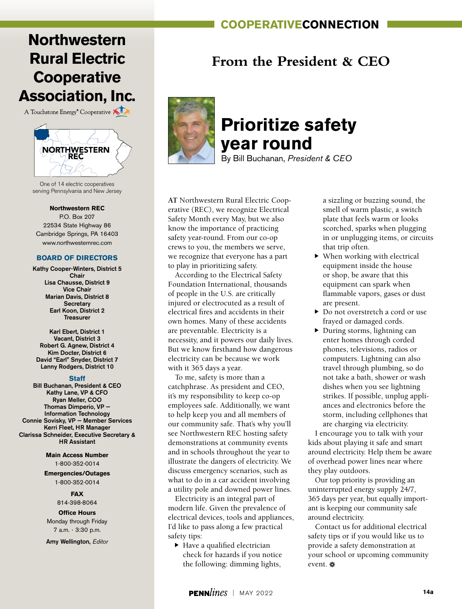### **cooperativeconnection**

## **Northwestern Rural Electric Cooperative Association, Inc.**

A Touchstone Energy<sup>®</sup> Cooperative



One of 14 electric cooperatives serving Pennsylvania and New Jersey

#### **Northwestern REC**

P.O. Box 207 22534 State Highway 86 Cambridge Springs, PA 16403 www.northwesternrec.com

#### **BOARD OF DIRECTORS**

Kathy Cooper-Winters, District 5 Chair Lisa Chausse, District 9 Vice Chair Marian Davis, District 8 **Secretary** Earl Koon, District 2 Treasurer

Karl Ebert, District 1 Vacant, District 3 Robert G. Agnew, District 4 Kim Docter, District 6 David "Earl" Snyder, District 7 Lanny Rodgers, District 10

#### **Staff**

Bill Buchanan, President & CEO Kathy Lane, VP & CFO Ryan Meller, COO Thomas Dimperio, VP — Information Technology Connie Sovisky, VP — Member Services Kerri Fleet, HR Manager Clarissa Schneider, Executive Secretary & HR Assistant

> **Main Access Number** 1-800-352-0014

**Emergencies/Outages** 1-800-352-0014

#### **FAX**

814-398-8064

### **Office Hours**

Monday through Friday 7 a.m. - 3:30 p.m.

Amy Wellington, *Editor*

### **From the President & CEO**



# **Prioritize safety year round**

By Bill Buchanan, *President & CEO*

**AT** Northwestern Rural Electric Cooperative (REC), we recognize Electrical Safety Month every May, but we also know the importance of practicing safety year-round. From our co-op crews to you, the members we serve, we recognize that everyone has a part to play in prioritizing safety.

According to the Electrical Safety Foundation International, thousands of people in the U.S. are critically injured or electrocuted as a result of electrical fires and accidents in their own homes. Many of these accidents are preventable. Electricity is a necessity, and it powers our daily lives. But we know firsthand how dangerous electricity can be because we work with it 365 days a year.

To me, safety is more than a catchphrase. As president and CEO, it's my responsibility to keep co-op employees safe. Additionally, we want to help keep you and all members of our community safe. That's why you'll see Northwestern REC hosting safety demonstrations at community events and in schools throughout the year to illustrate the dangers of electricity. We discuss emergency scenarios, such as what to do in a car accident involving a utility pole and downed power lines.

Electricity is an integral part of modern life. Given the prevalence of electrical devices, tools and appliances, I'd like to pass along a few practical safety tips:

 $\blacktriangleright$  Have a qualified electrician check for hazards if you notice the following: dimming lights,

a sizzling or buzzing sound, the smell of warm plastic, a switch plate that feels warm or looks scorched, sparks when plugging in or unplugging items, or circuits that trip often.

- $\blacktriangleright$  When working with electrical equipment inside the house or shop, be aware that this equipment can spark when flammable vapors, gases or dust are present.
- ▶ Do not overstretch a cord or use frayed or damaged cords.
- $\blacktriangleright$  During storms, lightning can enter homes through corded phones, televisions, radios or computers. Lightning can also travel through plumbing, so do not take a bath, shower or wash dishes when you see lightning strikes. If possible, unplug appliances and electronics before the storm, including cellphones that are charging via electricity.

I encourage you to talk with your kids about playing it safe and smart around electricity. Help them be aware of overhead power lines near where they play outdoors.

Our top priority is providing an uninterrupted energy supply 24/7, 365 days per year, but equally important is keeping our community safe around electricity.

Contact us for additional electrical safety tips or if you would like us to provide a safety demonstration at your school or upcoming community event. a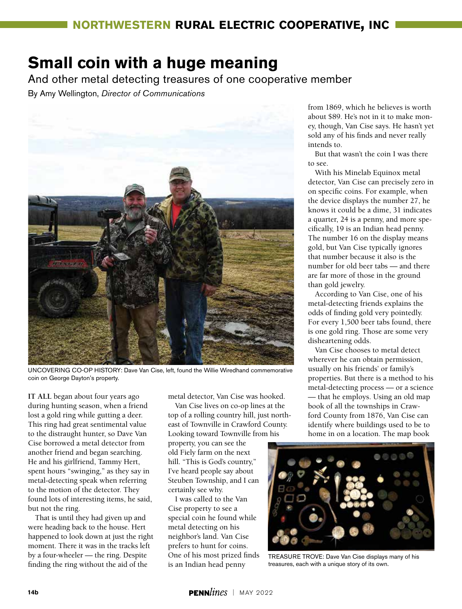# **Small coin with a huge meaning**

And other metal detecting treasures of one cooperative member

By Amy Wellington, *Director of Communications*



UNCOVERING CO-OP HISTORY: Dave Van Cise, left, found the Willie Wiredhand commemorative coin on George Dayton's property.

**IT ALL** began about four years ago during hunting season, when a friend lost a gold ring while gutting a deer. This ring had great sentimental value to the distraught hunter, so Dave Van Cise borrowed a metal detector from another friend and began searching. He and his girlfriend, Tammy Hert, spent hours "swinging," as they say in metal-detecting speak when referring to the motion of the detector. They found lots of interesting items, he said, but not the ring.

That is until they had given up and were heading back to the house. Hert happened to look down at just the right moment. There it was in the tracks left by a four-wheeler — the ring. Despite finding the ring without the aid of the

metal detector, Van Cise was hooked.

Van Cise lives on co-op lines at the top of a rolling country hill, just northeast of Townville in Crawford County. Looking toward Townville from his

property, you can see the old Fiely farm on the next hill. "This is God's country," I've heard people say about Steuben Township, and I can certainly see why.

I was called to the Van Cise property to see a special coin he found while metal detecting on his neighbor's land. Van Cise prefers to hunt for coins. One of his most prized finds is an Indian head penny

from 1869, which he believes is worth about \$89. He's not in it to make money, though, Van Cise says. He hasn't yet sold any of his finds and never really intends to.

But that wasn't the coin I was there to see.

With his Minelab Equinox metal detector, Van Cise can precisely zero in on specific coins. For example, when the device displays the number 27, he knows it could be a dime, 31 indicates a quarter, 24 is a penny, and more specifically, 19 is an Indian head penny. The number 16 on the display means gold, but Van Cise typically ignores that number because it also is the number for old beer tabs — and there are far more of those in the ground than gold jewelry.

According to Van Cise, one of his metal-detecting friends explains the odds of finding gold very pointedly. For every 1,500 beer tabs found, there is one gold ring. Those are some very disheartening odds.

Van Cise chooses to metal detect wherever he can obtain permission, usually on his friends' or family's properties. But there is a method to his metal-detecting process — or a science — that he employs. Using an old map book of all the townships in Crawford County from 1876, Van Cise can identify where buildings used to be to home in on a location. The map book



TREASURE TROVE: Dave Van Cise displays many of his treasures, each with a unique story of its own.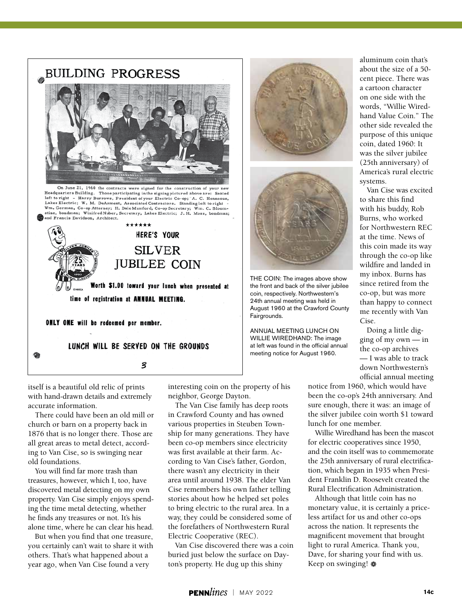

On June 21, 1960 the contracts were signed for the construction of your ne Headquarters Building. Those participating in the signing pictured above are: Seated left to right - Harry Burrows, President of your Electric Co-op; A. C. Henneous, Lakes Electric; W. M. DeArment, Associated Contractors. Standing left to right -Wm. Gorman, Co-op Attorney; H. Dale Mamford, Co-op Secretary; Wm. C. Bloom-stine, bondman; Winifred Nuber, Secretary, Lakes Electric; J. H. Moss, bondman; and Francis Davidson, Architect.



itself is a beautiful old relic of prints with hand-drawn details and extremely accurate information.

There could have been an old mill or church or barn on a property back in 1876 that is no longer there. Those are all great areas to metal detect, according to Van Cise, so is swinging near old foundations.

You will find far more trash than treasures, however, which I, too, have discovered metal detecting on my own property. Van Cise simply enjoys spending the time metal detecting, whether he finds any treasures or not. It's his alone time, where he can clear his head.

But when you find that one treasure, you certainly can't wait to share it with others. That's what happened about a year ago, when Van Cise found a very

interesting coin on the property of his neighbor, George Dayton.

The Van Cise family has deep roots in Crawford County and has owned various properties in Steuben Township for many generations. They have been co-op members since electricity was first available at their farm. According to Van Cise's father, Gordon, there wasn't any electricity in their area until around 1938. The elder Van Cise remembers his own father telling stories about how he helped set poles to bring electric to the rural area. In a way, they could be considered some of the forefathers of Northwestern Rural Electric Cooperative (REC).

Van Cise discovered there was a coin buried just below the surface on Dayton's property. He dug up this shiny





THE COIN: The images above show the front and back of the silver jubilee coin, respectively. Northwestern's 24th annual meeting was held in August 1960 at the Crawford County Fairgrounds.

ANNUAL MEETING LUNCH ON WILLIE WIREDHAND: The image at left was found in the official annual meeting notice for August 1960.

aluminum coin that's about the size of a 50 cent piece. There was a cartoon character on one side with the words, "Willie Wiredhand Value Coin." The other side revealed the purpose of this unique coin, dated 1960: It was the silver jubilee (25th anniversary) of America's rural electric systems.

Van Cise was excited to share this find with his buddy, Rob Burns, who worked for Northwestern REC at the time. News of this coin made its way through the co-op like wildfire and landed in my inbox. Burns has since retired from the co-op, but was more than happy to connect me recently with Van Cise.

Doing a little digging of my own — in the co-op archives — I was able to track down Northwestern's official annual meeting

notice from 1960, which would have been the co-op's 24th anniversary. And sure enough, there it was: an image of the silver jubilee coin worth \$1 toward lunch for one member.

Willie Wiredhand has been the mascot for electric cooperatives since 1950, and the coin itself was to commemorate the 25th anniversary of rural electrification, which began in 1935 when President Franklin D. Roosevelt created the Rural Electrification Administration.

Although that little coin has no monetary value, it is certainly a priceless artifact for us and other co-ops across the nation. It represents the magnificent movement that brought light to rural America. Thank you, Dave, for sharing your find with us. Keep on swinging! a